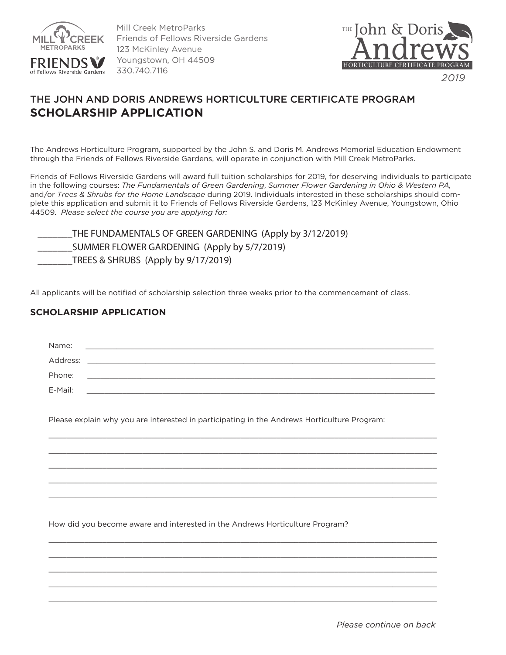

Mill Creek MetroParks Friends of Fellows Riverside Gardens 123 McKinley Avenue Youngstown, OH 44509 330.740.7116



## THE JOHN AND DORIS ANDREWS HORTICULTURE CERTIFICATE PROGRAM **SCHOLARSHIP APPLICATION**

The Andrews Horticulture Program, supported by the John S. and Doris M. Andrews Memorial Education Endowment through the Friends of Fellows Riverside Gardens, will operate in conjunction with Mill Creek MetroParks.

Friends of Fellows Riverside Gardens will award full tuition scholarships for 2019, for deserving individuals to participate in the following courses: *The Fundamentals of Green Gardening*, *Summer Flower Gardening in Ohio & Western PA,*  and/or *Trees & Shrubs for the Home Landscape* during 2019. Individuals interested in these scholarships should complete this application and submit it to Friends of Fellows Riverside Gardens, 123 McKinley Avenue, Youngstown, Ohio 44509. *Please select the course you are applying for:* 

| THE FUNDAMENTALS OF GREEN GARDENING (Apply by 3/12/2019) |
|----------------------------------------------------------|
| SUMMER FLOWER GARDENING (Apply by 5/7/2019)              |
| TREES & SHRUBS (Apply by 9/17/2019)                      |

All applicants will be notified of scholarship selection three weeks prior to the commencement of class.

## **SCHOLARSHIP APPLICATION**

| Name:    |                                                                                                                    |
|----------|--------------------------------------------------------------------------------------------------------------------|
| Address: | <u> 1989 - Jan James James James James James James James James James James James James James James James James</u> |
| Phone:   |                                                                                                                    |
| E-Mail:  |                                                                                                                    |
|          | Please explain why you are interested in participating in the Andrews Horticulture Program:                        |
|          |                                                                                                                    |
|          |                                                                                                                    |
|          |                                                                                                                    |
|          |                                                                                                                    |
|          |                                                                                                                    |
|          |                                                                                                                    |
|          |                                                                                                                    |
|          | How did you become aware and interested in the Andrews Horticulture Program?                                       |
|          |                                                                                                                    |
|          |                                                                                                                    |

 $\mathcal{L}_\text{max} = \frac{1}{2} \sum_{i=1}^{n} \frac{1}{2} \sum_{i=1}^{n} \frac{1}{2} \sum_{i=1}^{n} \frac{1}{2} \sum_{i=1}^{n} \frac{1}{2} \sum_{i=1}^{n} \frac{1}{2} \sum_{i=1}^{n} \frac{1}{2} \sum_{i=1}^{n} \frac{1}{2} \sum_{i=1}^{n} \frac{1}{2} \sum_{i=1}^{n} \frac{1}{2} \sum_{i=1}^{n} \frac{1}{2} \sum_{i=1}^{n} \frac{1}{2} \sum_{i=1}^{n} \frac{1$